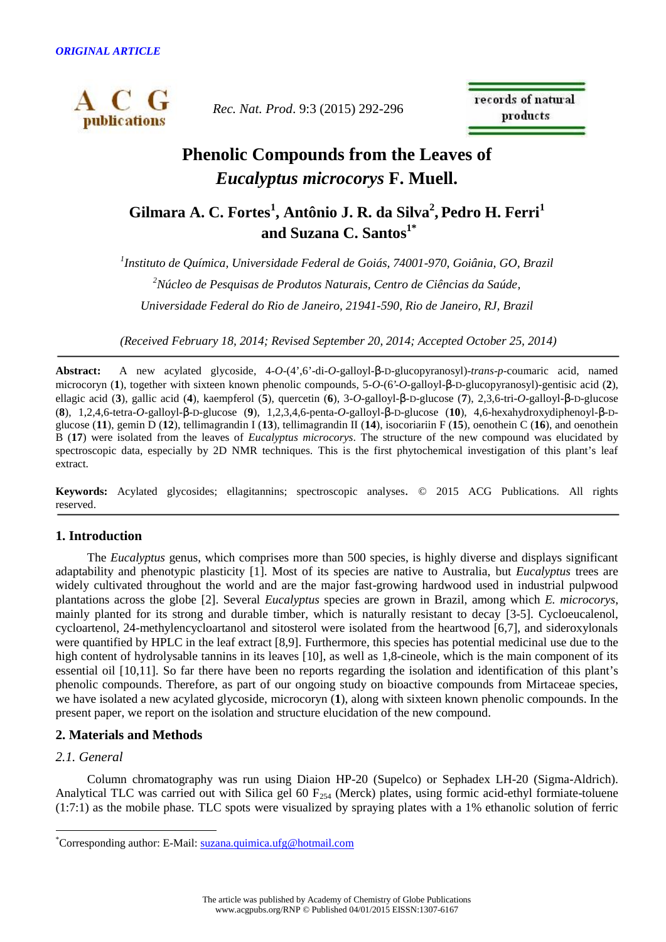

*Rec. Nat. Prod*. 9:3 (2015) 292-296

records of natural products

# **Phenolic Compounds from the Leaves of** *Eucalyptus microcorys* **F. Muell.**

## **Gilmara A. C. Fortes<sup>1</sup> , Antônio J. R. da Silva<sup>2</sup> , Pedro H. Ferri<sup>1</sup> and Suzana C. Santos1\***

*<sup>1</sup>Instituto de Química, Universidade Federal de Goiás, 74001-970, Goiânia, GO, Brazil <sup>2</sup>Núcleo de Pesquisas de Produtos Naturais, Centro de Ciências da Saúde, Universidade Federal do Rio de Janeiro, 21941-590, Rio de Janeiro, RJ, Brazil*

*(Received February 18, 2014; Revised September 20, 2014; Accepted October 25, 2014)*

Abstract: A new acylated glycoside, 4-O-(4',6'-di-O-galloyl-S-D-glucopyranosyl)-*trans-p*-coumaric acid, named microcoryn (1), together with sixteen known phenolic compounds, 5-O-(6'-O-galloyl-S-D-glucopyranosyl)-gentisic acid (2), ellagic acid (3), gallic acid (4), kaempferol (5), quercetin (6), 3-O-galloyl-s-D-glucose (7), 2,3,6-tri-O-galloyl-s-D-glucose (8), 1,2,4,6-tetra-*O*-galloyl-S-D-glucose (9), 1,2,3,4,6-penta-*O*-galloyl-S-D-glucose (10), 4,6-hexahydroxydiphenoyl-S-Dglucose (**11**), gemin D (**12**), tellimagrandin I (**13**), tellimagrandin II (**14**), isocoriariin F (**15**), oenothein C (**16**), and oenothein B (**17**) were isolated from the leaves of *Eucalyptus microcorys*. The structure of the new compound was elucidated by spectroscopic data, especially by 2D NMR techniques. This is the first phytochemical investigation of this plant's leaf extract.

**Keywords:** Acylated glycosides; ellagitannins; spectroscopic analyses. © 2015 ACG Publications. All rights reserved.

## **1. Introduction**

The *Eucalyptus* genus, which comprises more than 500 species, is highly diverse and displays significant adaptability and phenotypic plasticity [1]. Most of its species are native to Australia, but *Eucalyptus* trees are widely cultivated throughout the world and are the major fast-growing hardwood used in industrial pulpwood plantations across the globe [2]. Several *Eucalyptus* species are grown in Brazil, among which *E. microcorys*, mainly planted for its strong and durable timber, which is naturally resistant to decay [3-5]. Cycloeucalenol, cycloartenol, 24-methylencycloartanol and sitosterol were isolated from the heartwood [6,7], and sideroxylonals were quantified by HPLC in the leaf extract [8,9]. Furthermore, this species has potential medicinal use due to the high content of hydrolysable tannins in its leaves [10], as well as 1,8-cineole, which is the main component of its essential oil [10,11]. So far there have been no reports regarding the isolation and identification of this plant's phenolic compounds. Therefore, as part of our ongoing study on bioactive compounds from Mirtaceae species, we have isolated a new acylated glycoside, microcoryn (**1**), along with sixteen known phenolic compounds. In the present paper, we report on the isolation and structure elucidation of the new compound.

## **2. Materials and Methods**

## *2.1. General*

Column chromatography was run using Diaion HP-20 (Supelco) or Sephadex LH-20 (Sigma-Aldrich). Analytical TLC was carried out with Silica gel 60  $F_{254}$  (Merck) plates, using formic acid-ethyl formiate-toluene (1:7:1) as the mobile phase. TLC spots were visualized by spraying plates with a 1% ethanolic solution of ferric

<sup>\*</sup>Corresponding author: E-Mail: suzana.quimica.ufg@hotmail.com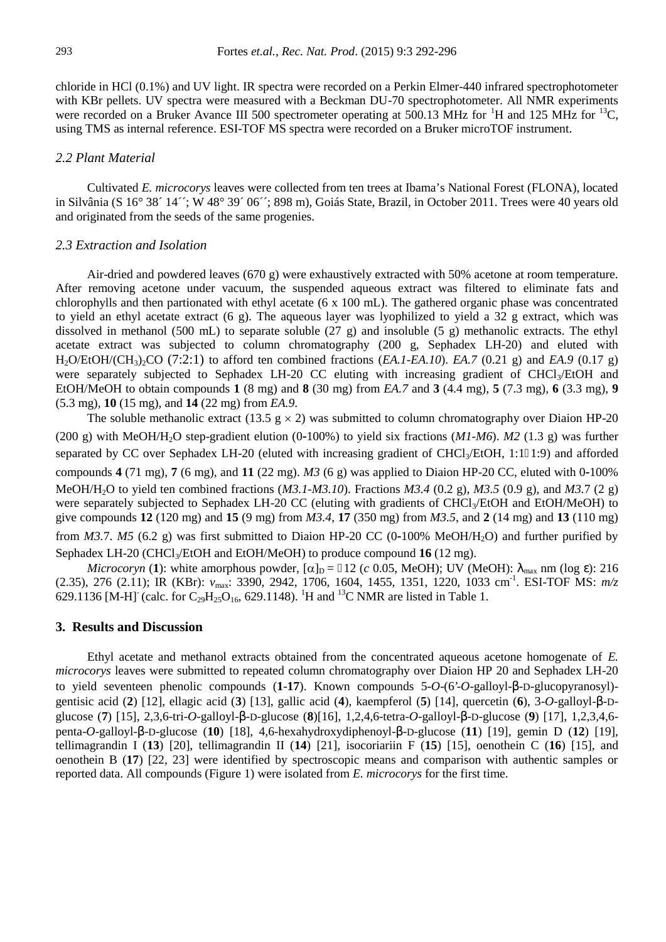chloride in HCl (0.1%) and UV light. IR spectra were recorded on a Perkin Elmer-440 infrared spectrophotometer with KBr pellets. UV spectra were measured with a Beckman DU-70 spectrophotometer. All NMR experiments were recorded on a Bruker Avance III 500 spectrometer operating at 500.13 MHz for  ${}^{1}$ H and 125 MHz for  ${}^{13}C$ , using TMS as internal reference. ESI-TOF MS spectra were recorded on a Bruker microTOF instrument.

#### *2.2 Plant Material*

Cultivated *E. microcorys* leaves were collected from ten trees at Ibama's National Forest (FLONA), located in Silvânia (S 16° 38´ 14´´; W 48° 39´ 06´´; 898 m), Goiás State, Brazil, in October 2011. Trees were 40 years old and originated from the seeds of the same progenies.

#### *2.3 Extraction and Isolation*

Air-dried and powdered leaves (670 g) were exhaustively extracted with 50% acetone at room temperature. After removing acetone under vacuum, the suspended aqueous extract was filtered to eliminate fats and chlorophylls and then partionated with ethyl acetate (6 x 100 mL). The gathered organic phase was concentrated to yield an ethyl acetate extract (6 g). The aqueous layer was lyophilized to yield a 32 g extract, which was dissolved in methanol (500 mL) to separate soluble (27 g) and insoluble (5 g) methanolic extracts. The ethyl acetate extract was subjected to column chromatography (200 g, Sephadex LH-20) and eluted with H2O/EtOH/(CH3)2CO (7:2:1) to afford ten combined fractions (*EA.1-EA.10*). *EA.7* (0.21 g) and *EA.9* (0.17 g) were separately subjected to Sephadex LH-20 CC eluting with increasing gradient of CHCl3/EtOH and EtOH/MeOH to obtain compounds **1** (8 mg) and **8** (30 mg) from *EA.7* and **3** (4.4 mg), **5** (7.3 mg), **6** (3.3 mg), **9** (5.3 mg), **10** (15 mg), and **14** (22 mg) from *EA.9*.

The soluble methanolic extract (13.5 g  $\times$  2) was submitted to column chromatography over Diaion HP-20 (200 g) with MeOH/H<sub>2</sub>O step-gradient elution (0-100%) to yield six fractions (*M1-M6*). *M2* (1.3 g) was further separated by CC over Sephadex LH-20 (eluted with increasing gradient of CHCl<sub>3</sub>/EtOH, 1:1–1:9) and afforded compounds **4** (71 mg), **7** (6 mg), and **11** (22 mg). *M3* (6 g) was applied to Diaion HP-20 CC, eluted with 0-100% MeOH/H2O to yield ten combined fractions (*M3.1-M3.10*). Fractions *M3.4* (0.2 g), *M3.5* (0.9 g), and *M3.*7 (2 g) were separately subjected to Sephadex LH-20 CC (eluting with gradients of CHCl<sub>3</sub>/EtOH and EtOH/MeOH) to give compounds **12** (120 mg) and **15** (9 mg) from *M3.4*, **17** (350 mg) from *M3.5*, and **2** (14 mg) and **13** (110 mg) from *M3.7. M5* (6.2 g) was first submitted to Diaion HP-20 CC (0-100% MeOH/H<sub>2</sub>O) and further purified by Sephadex LH-20 (CHCl<sub>3</sub>/EtOH and EtOH/MeOH) to produce compound **16** (12 mg).

*Microcoryn* (1): white amorphous powder,  $[\alpha]_D = 12$  (*c* 0.05, MeOH); UV (MeOH):  $\sum_{max}$  nm (log v): 216 (2.35), 276 (2.11); IR (KBr): max: 3390, 2942, 1706, 1604, 1455, 1351, 1220, 1033 cm-1 . ESI-TOF MS: *m/z* 629.1136 [M-H]<sup>-</sup> (calc. for C<sub>29</sub>H<sub>25</sub>O<sub>16</sub>, 629.1148). <sup>1</sup>H and <sup>13</sup>C NMR are listed in Table 1.

#### **3. Results and Discussion**

Ethyl acetate and methanol extracts obtained from the concentrated aqueous acetone homogenate of *E. microcorys* leaves were submitted to repeated column chromatography over Diaion HP 20 and Sephadex LH-20 to yield seventeen phenolic compounds (1-17). Known compounds 5-O-(6'-O-galloyl-S-D-glucopyranosyl)gentisic acid (2) [12], ellagic acid (3) [13], gallic acid (4), kaempferol (5) [14], quercetin (6), 3-*O*-galloyl-S-Dglucose (7) [15], 2,3,6-tri-*O*-galloyl-S-D-glucose (8)[16], 1,2,4,6-tetra-*O*-galloyl-S-D-glucose (9) [17], 1,2,3,4,6penta-*O*-galloyl-S-D-glucose (10) [18], 4,6-hexahydroxydiphenoyl-S-D-glucose (11) [19], gemin D (12) [19], tellimagrandin I (**13**) [20], tellimagrandin II (**14**) [21], isocoriariin F (**15**) [15], oenothein C (**16**) [15], and oenothein B (**17**) [22, 23] were identified by spectroscopic means and comparison with authentic samples or reported data. All compounds (Figure 1) were isolated from *E. microcorys* for the first time.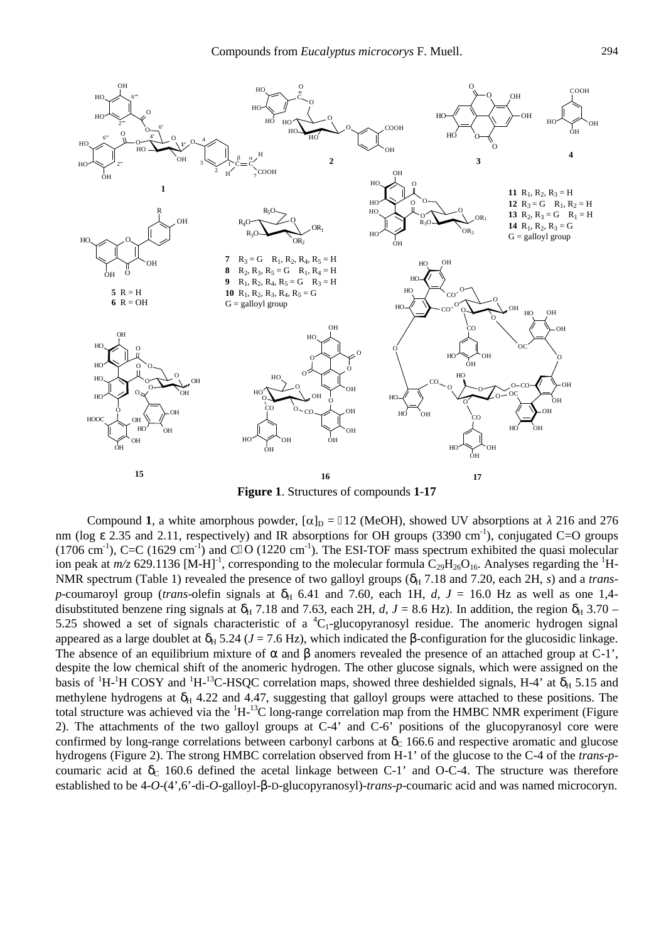

**Figure 1**. Structures of compounds **1**-**17**

Compound 1, a white amorphous powder,  $[\alpha]_D = 12$  (MeOH), showed UV absorptions at 216 and 276 nm (log v 2.35 and 2.11, respectively) and IR absorptions for OH groups (3390 cm<sup>-1</sup>), conjugated C=O groups  $(1706 \text{ cm}^3)$ , C=C  $(1629 \text{ cm}^3)$  and C $\text{O}$   $(1220 \text{ cm}^3)$ . The ESI-TOF mass spectrum exhibited the quasi molecular ion peak at  $m/z$  629.1136 [M-H]<sup>-1</sup>, corresponding to the molecular formula  $C_{29}H_{26}O_{16}$ . Analyses regarding the <sup>1</sup>H-NMR spectrum (Table 1) revealed the presence of two galloyl groups ( $U_H$  7.18 and 7.20, each 2H, *s*) and a *transp*-coumaroyl group (*trans*-olefin signals at  $U_H$  6.41 and 7.60, each 1H, *d*, *J* = 16.0 Hz as well as one 1,4disubstituted benzene ring signals at  $U_H$  7.18 and 7.63, each 2H, *d*, *J* = 8.6 Hz). In addition, the region  $U_H$  3.70 – 5.25 showed a set of signals characteristic of a  ${}^{4}C_{1}$ -glucopyranosyl residue. The anomeric hydrogen signal appeared as a large doublet at  $U_H$  5.24 ( $J = 7.6$  Hz), which indicated the S-configuration for the glucosidic linkage. The absence of an equilibrium mixture of  $\Gamma$  and  $\Gamma$  anomers revealed the presence of an attached group at C-1', despite the low chemical shift of the anomeric hydrogen. The other glucose signals, which were assigned on the basis of  $^1$ H- $^1$ H COSY and  $^1$ H- $^{13}$ C-HSQC correlation maps, showed three deshielded signals, H-4' at  $u_H$  5.15 and methylene hydrogens at  $U_H$  4.22 and 4.47, suggesting that galloyl groups were attached to these positions. The total structure was achieved via the  ${}^{1}H-{}^{13}C$  long-range correlation map from the HMBC NMR experiment (Figure 2). The attachments of the two galloyl groups at C-4' and C-6' positions of the glucopyranosyl core were confirmed by long-range correlations between carbonyl carbons at  $U_C$  166.6 and respective aromatic and glucose hydrogens (Figure 2). The strong HMBC correlation observed from H-1' of the glucose to the C-4 of the *trans*-*p* coumaric acid at  $U_C$  160.6 defined the acetal linkage between C-1' and O-C-4. The structure was therefore established to be 4-*O*-(4',6'-di-*O*-galloyl-S-D-glucopyranosyl)-*trans-p*-coumaric acid and was named microcoryn.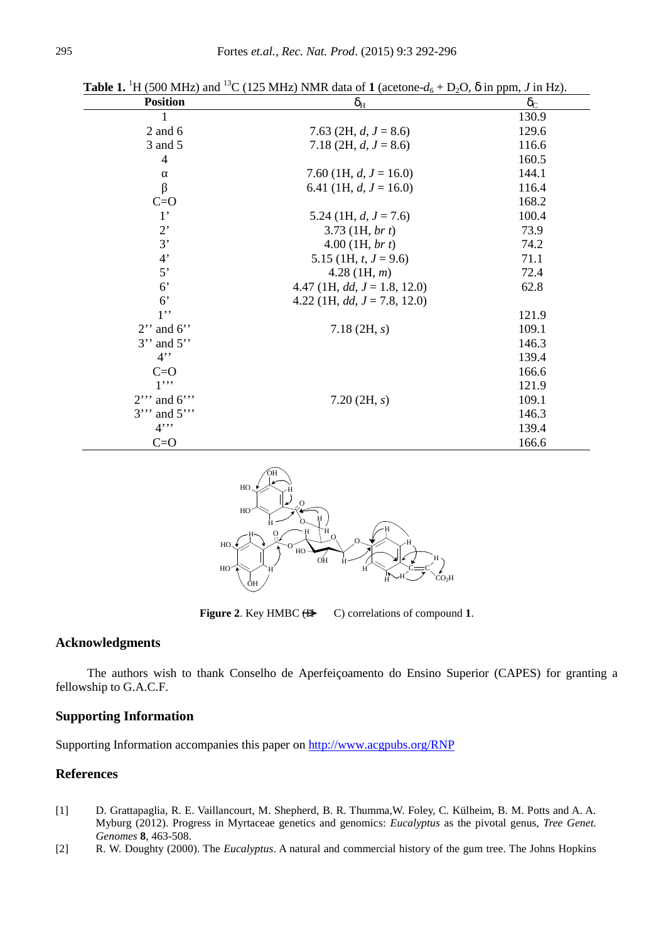| <b>Position</b> | $U_{\rm H}$                     | $U_{\rm C}$ |
|-----------------|---------------------------------|-------------|
| 1               |                                 | 130.9       |
| $2$ and $6$     | 7.63 (2H, $d, J = 8.6$ )        | 129.6       |
| 3 and 5         | 7.18 (2H, $d, J = 8.6$ )        | 116.6       |
| $\overline{4}$  |                                 | 160.5       |
|                 | 7.60 (1H, $d, J = 16.0$ )       | 144.1       |
|                 | 6.41 (1H, $d, J = 16.0$ )       | 116.4       |
| $C = O$         |                                 | 168.2       |
| $1^{\prime}$    | 5.24 (1H, $d, J = 7.6$ )        | 100.4       |
| $2$ '           | $3.73$ (1H, br t)               | 73.9        |
| 3'              | $4.00$ (1H, br t)               | 74.2        |
| 4'              | 5.15 (1H, $t, J = 9.6$ )        | 71.1        |
| 5'              | $4.28$ (1H, m)                  | 72.4        |
| 6 <sup>o</sup>  | 4.47 (1H, $dd, J = 1.8, 12.0$ ) | 62.8        |
| 6 <sup>o</sup>  | 4.22 (1H, $dd, J = 7.8, 12.0$ ) |             |
| $1$ ''          |                                 | 121.9       |
| $2$ " and 6"    | $7.18$ (2H, s)                  | 109.1       |
| $3$ " and $5$ " |                                 | 146.3       |
| 4               |                                 | 139.4       |
| $C=O$           |                                 | 166.6       |
| $1$ "           |                                 | 121.9       |
| $2''$ and 6"    | 7.20(2H, s)                     | 109.1       |
| $3''$ and $5''$ |                                 | 146.3       |
| $4$ "           |                                 | 139.4       |
| $C = O$         |                                 | 166.6       |

**Table 1.** <sup>1</sup>H (500 MHz) and <sup>13</sup>C (125 MHz) NMR data of 1 (acetone- $d_6$  + D<sub>2</sub>O, u in ppm, *J* in Hz).



**Figure 2.** Key HMBC  $(H \rightarrow C)$  correlations of compound 1.

## **Acknowledgments**

The authors wish to thank Conselho de Aperfeiçoamento do Ensino Superior (CAPES) for granting a fellowship to G.A.C.F.

## **Supporting Information**

Supporting Information accompanies this paper on http://www.acgpubs.org/RNP

## **References**

- [1] D. Grattapaglia, R. E. Vaillancourt, M. Shepherd, B. R. Thumma,W. Foley, C. Külheim, B. M. Potts and A. A. Myburg (2012). Progress in Myrtaceae genetics and genomics: *Eucalyptus* as the pivotal genus, *Tree Genet. Genomes* **8**, 463-508.
- [2] R. W. Doughty (2000). The *Eucalyptus*. A natural and commercial history of the gum tree. The Johns Hopkins